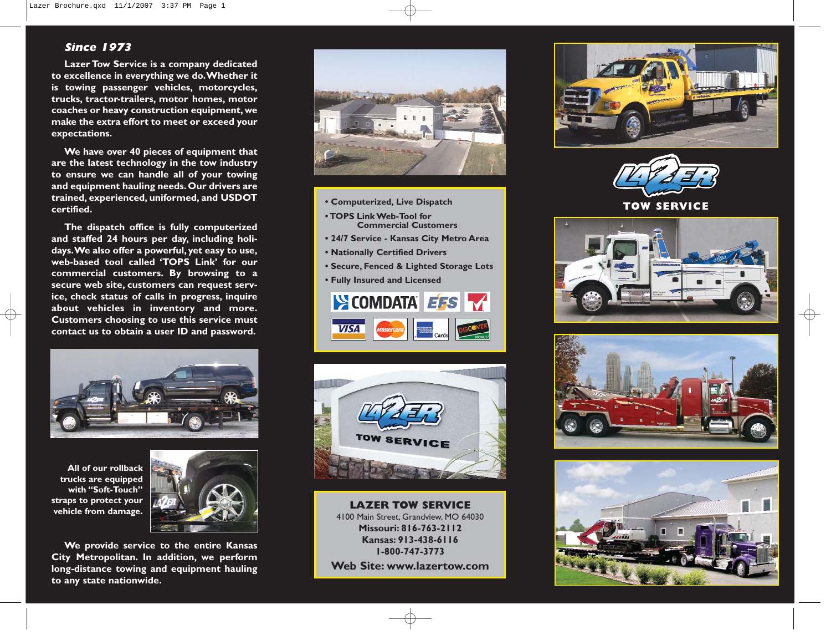## **Since 1973**

**Lazer Tow Service is a company dedicated to excellence in everything we do.Whether it is towing passenger vehicles, motorcycles, trucks, tractor-trailers, motor homes, motor coaches or heavy construction equipment, we make the extra effort to meet or exceed your expectations.**

**We have over 40 pieces of equipment that are the latest technology in the tow industry to ensure we can handle all of your towing and equipment hauling needs. Our drivers are trained, experienced, uniformed, and USDOT certified.**

**The dispatch office is fully computerized and staffed 24 hours per day, including holidays.We also offer a powerful, yet easy to use, web-based tool called 'TOPS Link' for our commercial customers. By browsing to a secure web site, customers can request service, check status of calls in progress, inquire about vehicles in inventory and more. Customers choosing to use this service must contact us to obtain a user ID and password.**



**All of our rollback trucks are equipped with "Soft-Touch" straps to protect your vehicle from damage.**



**We provide service to the entire Kansas City Metropolitan. In addition, we perform long-distance towing and equipment hauling to any state nationwide.**



- **Computerized, Live Dispatch**
- **TOPS Link Web-Tool for Commercial Customers**
- **24/7 Service Kansas City Metro Area**
- **Nationally Certified Drivers**
- **Secure, Fenced & Lighted Storage Lots**
- **Fully Insured and Licensed**





**LAZER TOW SERVICE** 4100 Main Street, Grandview, MO 64030 **Missouri: 816-763-2112 Kansas: 913-438-6116 1-800-747-3773 Web Site: www.lazertow.com**





**TOW SERVICE**